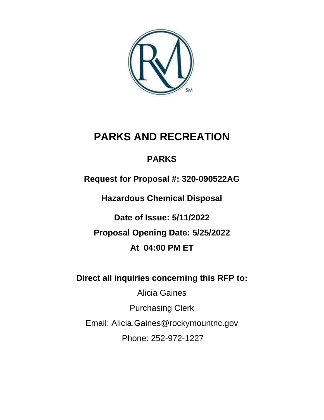

# **PARKS AND RECREATION**

# **PARKS**

**Request for Proposal #: 320-090522AG**

**Hazardous Chemical Disposal**

**Date of Issue: 5/11/2022 Proposal Opening Date: 5/25/2022 At 04:00 PM ET**

**Direct all inquiries concerning this RFP to:** 

Alicia Gaines

Purchasing Clerk

Email: Alicia.Gaines@rockymountnc.gov

Phone: 252-972-1227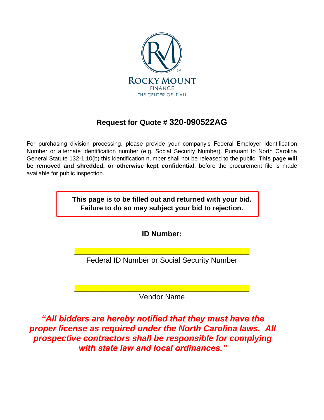

# **Request for Quote # 320-090522AG** \_\_\_\_\_\_\_\_\_\_\_\_\_\_\_\_\_\_\_\_\_\_\_\_\_\_\_\_\_\_\_\_\_\_\_\_\_\_\_\_\_\_\_\_\_\_\_\_\_\_\_\_\_\_

For purchasing division processing, please provide your company's Federal Employer Identification Number or alternate identification number (e.g. Social Security Number). Pursuant to North Carolina General Statute 132-1.10(b) this identification number shall not be released to the public. **This page will be removed and shredded, or otherwise kept confidential**, before the procurement file is made available for public inspection.

> **This page is to be filled out and returned with your bid. Failure to do so may subject your bid to rejection.**

> > **ID Number:**

\_\_\_\_\_\_\_\_\_\_\_\_\_\_\_\_\_\_\_\_\_\_\_\_\_\_\_\_\_\_\_\_\_\_\_\_\_\_\_\_\_\_\_\_\_\_\_\_\_\_\_\_\_\_ Federal ID Number or Social Security Number

\_\_\_\_\_\_\_\_\_\_\_\_\_\_\_\_\_\_\_\_\_\_\_\_\_\_\_\_\_\_\_\_\_\_\_\_\_\_\_\_\_\_\_\_\_\_\_\_\_\_\_\_\_\_ Vendor Name

*"All bidders are hereby notified that they must have the proper license as required under the North Carolina laws. All prospective contractors shall be responsible for complying with state law and local ordinances."*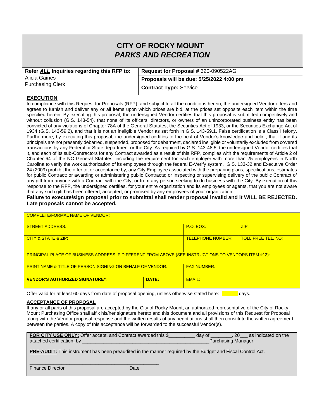# **CITY OF ROCKY MOUNT** *PARKS AND RECREATION*

| Refer ALL Inquiries regarding this RFP to: | Request for Proposal # 320-090522AG      |
|--------------------------------------------|------------------------------------------|
| Alicia Gaines<br><b>Purchasing Clerk</b>   | Proposals will be due: 5/25/2022 4:00 pm |
|                                            | <b>Contract Type: Service</b>            |

#### **EXECUTION**

In compliance with this Request for Proposals (RFP), and subject to all the conditions herein, the undersigned Vendor offers and agrees to furnish and deliver any or all items upon which prices are bid, at the prices set opposite each item within the time specified herein. By executing this proposal, the undersigned Vendor certifies that this proposal is submitted competitively and without collusion (G.S. 143-54), that none of its officers, directors, or owners of an unincorporated business entity has been convicted of any violations of Chapter 78A of the General Statutes, the Securities Act of 1933, or the Securities Exchange Act of 1934 (G.S. 143-59.2), and that it is not an ineligible Vendor as set forth in G.S. 143-59.1. False certification is a Class I felony. Furthermore, by executing this proposal, the undersigned certifies to the best of Vendor's knowledge and belief, that it and its principals are not presently debarred, suspended, proposed for debarment, declared ineligible or voluntarily excluded from covered transactions by any Federal or State department or the City. As required by G.S. 143-48.5, the undersigned Vendor certifies that it, and each of its sub-Contractors for any Contract awarded as a result of this RFP, complies with the requirements of Article 2 of Chapter 64 of the NC General Statutes, including the requirement for each employer with more than 25 employees in North Carolina to verify the work authorization of its employees through the federal E-Verify system. G.S. 133-32 and Executive Order 24 (2009) prohibit the offer to, or acceptance by, any City Employee associated with the preparing plans, specifications, estimates for public Contract; or awarding or administering public Contracts; or inspecting or supervising delivery of the public Contract of any gift from anyone with a Contract with the City, or from any person seeking to do business with the City. By execution of this response to the RFP, the undersigned certifies, for your entire organization and its employees or agents, that you are not aware that any such gift has been offered, accepted, or promised by any employees of your organization.

#### **Failure to execute/sign proposal prior to submittal shall render proposal invalid and it WILL BE REJECTED. Late proposals cannot be accepted.**

| <b>COMPLETE/FORMAL NAME OF VENDOR:</b>                                                              |       |                  |      |  |  |
|-----------------------------------------------------------------------------------------------------|-------|------------------|------|--|--|
| <b>STREET ADDRESS:</b>                                                                              |       | <b>P.O. BOX:</b> | ZIP: |  |  |
| <b>TOLL FREE TEL. NO:</b><br><b>TELEPHONE NUMBER:</b><br>CITY & STATE & ZIP:                        |       |                  |      |  |  |
| PRINCIPAL PLACE OF BUSINESS ADDRESS IF DIFFERENT FROM ABOVE (SEE INSTRUCTIONS TO VENDORS ITEM #12): |       |                  |      |  |  |
| <b>PRINT NAME &amp; TITLE OF PERSON SIGNING ON BEHALF OF VENDOR:</b><br><b>FAX NUMBER:</b>          |       |                  |      |  |  |
| <b>VENDOR'S AUTHORIZED SIGNATURE*:</b>                                                              | DATE: | EMAIL:           |      |  |  |

Offer valid for at least 60 days from date of proposal opening, unless otherwise stated here: **Example 20** days.

#### **ACCEPTANCE OF PROPOSAL**

If any or all parts of this proposal are accepted by the City of Rocky Mount, an authorized representative of the City of Rocky Mount Purchasing Office shall affix his/her signature hereto and this document and all provisions of this Request for Proposal along with the Vendor proposal response and the written results of any negotiations shall then constitute the written agreement between the parties. A copy of this acceptance will be forwarded to the successful Vendor(s).

| FOR CITY USE ONLY: Offer accept, and Contract awarded this \$ | dav of              | . 20 | as indicated on the |
|---------------------------------------------------------------|---------------------|------|---------------------|
| attached certification, by                                    | Purchasing Manager. |      |                     |

**PRE-AUDIT:** This instrument has been preaudited in the manner required by the Budget and Fiscal Control Act.

Finance Director **Director** Date Date

**\_\_\_\_\_\_\_\_\_\_\_\_\_\_\_\_\_\_\_\_\_\_\_\_\_\_\_\_\_\_\_\_\_\_\_\_\_\_\_\_\_\_\_\_\_\_\_\_\_**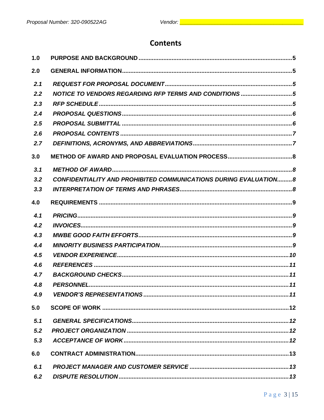# **Contents**

| 1.0 |                                                                         |  |
|-----|-------------------------------------------------------------------------|--|
| 2.0 |                                                                         |  |
| 2.1 |                                                                         |  |
| 2.2 | NOTICE TO VENDORS REGARDING RFP TERMS AND CONDITIONS 5                  |  |
| 2.3 |                                                                         |  |
| 2.4 |                                                                         |  |
| 2.5 |                                                                         |  |
| 2.6 |                                                                         |  |
| 2.7 |                                                                         |  |
| 3.0 |                                                                         |  |
| 3.1 |                                                                         |  |
| 3.2 | <b>CONFIDENTIALITY AND PROHIBITED COMMUNICATIONS DURING EVALUATION8</b> |  |
| 3,3 |                                                                         |  |
| 4.0 |                                                                         |  |
| 4.1 |                                                                         |  |
| 4.2 |                                                                         |  |
| 4.3 |                                                                         |  |
| 4.4 |                                                                         |  |
| 4.5 |                                                                         |  |
| 4.6 |                                                                         |  |
| 4.7 |                                                                         |  |
| 4.8 |                                                                         |  |
| 4.9 |                                                                         |  |
| 5.0 |                                                                         |  |
| 5.1 |                                                                         |  |
| 5.2 |                                                                         |  |
| 5,3 |                                                                         |  |
| 6.0 |                                                                         |  |
| 6.1 |                                                                         |  |
| 6.2 |                                                                         |  |
|     |                                                                         |  |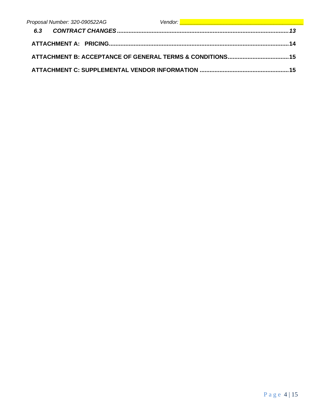| Proposal Number: 320-090522AG | Vendor: <u>Alexander Communication of the Communication</u> |
|-------------------------------|-------------------------------------------------------------|
|                               |                                                             |
|                               |                                                             |
|                               |                                                             |
|                               |                                                             |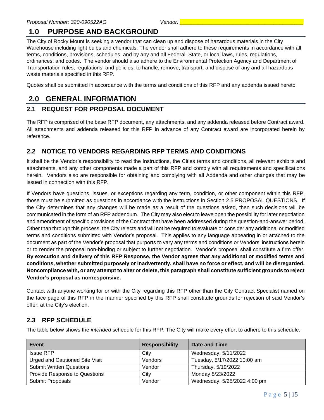# <span id="page-5-0"></span>**1.0 PURPOSE AND BACKGROUND**

The City of Rocky Mount is seeking a vendor that can clean up and dispose of hazardous materials in the City Warehouse including light bulbs and chemicals. The vendor shall adhere to these requirements in accordance with all terms, conditions, provisions, schedules, and by any and all Federal, State, or local laws, rules, regulations, ordinances, and codes. The vendor should also adhere to the Environmental Protection Agency and Department of Transportation rules, regulations, and policies, to handle, remove, transport, and dispose of any and all hazardous waste materials specified in this RFP.

<span id="page-5-1"></span>Quotes shall be submitted in accordance with the terms and conditions of this RFP and any addenda issued hereto.

# **2.0 GENERAL INFORMATION**

#### <span id="page-5-2"></span>**2.1 REQUEST FOR PROPOSAL DOCUMENT**

The RFP is comprised of the base RFP document, any attachments, and any addenda released before Contract award. All attachments and addenda released for this RFP in advance of any Contract award are incorporated herein by reference.

#### <span id="page-5-3"></span>**2.2 NOTICE TO VENDORS REGARDING RFP TERMS AND CONDITIONS**

It shall be the Vendor's responsibility to read the Instructions, the Cities terms and conditions, all relevant exhibits and attachments, and any other components made a part of this RFP and comply with all requirements and specifications herein. Vendors also are responsible for obtaining and complying with all Addenda and other changes that may be issued in connection with this RFP.

If Vendors have questions, issues, or exceptions regarding any term, condition, or other component within this RFP, those must be submitted as questions in accordance with the instructions in Section 2.5 PROPOSAL QUESTIONS. If the City determines that any changes will be made as a result of the questions asked, then such decisions will be communicated in the form of an RFP addendum. The City may also elect to leave open the possibility for later negotiation and amendment of specific provisions of the Contract that have been addressed during the question-and-answer period. Other than through this process, the City rejects and will not be required to evaluate or consider any additional or modified terms and conditions submitted with Vendor's proposal. This applies to any language appearing in or attached to the document as part of the Vendor's proposal that purports to vary any terms and conditions or Vendors' instructions herein or to render the proposal non-binding or subject to further negotiation. Vendor's proposal shall constitute a firm offer. **By execution and delivery of this RFP Response, the Vendor agrees that any additional or modified terms and conditions, whether submitted purposely or inadvertently, shall have no force or effect, and will be disregarded. Noncompliance with, or any attempt to alter or delete, this paragraph shall constitute sufficient grounds to reject Vendor's proposal as nonresponsive.**

Contact with anyone working for or with the City regarding this RFP other than the City Contract Specialist named on the face page of this RFP in the manner specified by this RFP shall constitute grounds for rejection of said Vendor's offer, at the City's election.

#### <span id="page-5-4"></span>**2.3 RFP SCHEDULE**

The table below shows the *intended* schedule for this RFP. The City will make every effort to adhere to this schedule.

| Event                                | <b>Responsibility</b> | Date and Time                |
|--------------------------------------|-----------------------|------------------------------|
| <b>Issue RFP</b>                     | City                  | Wednesday, 5/11/2022         |
| Urged and Cautioned Site Visit       | Vendors               | Tuesday, 5/17/2022 10:00 am  |
| <b>Submit Written Questions</b>      | Vendor                | Thursday, 5/19/2022          |
| <b>Provide Response to Questions</b> | City                  | Monday 5/23/2022             |
| Submit Proposals                     | Vendor                | Wednesday, 5/25/2022 4:00 pm |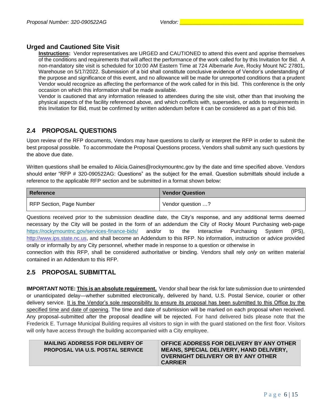#### **Urged and Cautioned Site Visit**

**Instructions:** Vendor representatives are URGED and CAUTIONED to attend this event and apprise themselves of the conditions and requirements that will affect the performance of the work called for by this Invitation for Bid. A non-mandatory site visit is scheduled for 10:00 AM Eastern Time at 724 Albemarle Ave, Rocky Mount NC 27801, Warehouse on 5/17/2022. Submission of a bid shall constitute conclusive evidence of Vendor's understanding of the purpose and significance of this event, and no allowance will be made for unreported conditions that a prudent Vendor would recognize as affecting the performance of the work called for in this bid. This conference is the only occasion on which this information shall be made available.

Vendor is cautioned that any information released to attendees during the site visit, other than that involving the physical aspects of the facility referenced above, and which conflicts with, supersedes, or adds to requirements in this Invitation for Bid, must be confirmed by written addendum before it can be considered as a part of this bid.

#### <span id="page-6-0"></span>**2.4 PROPOSAL QUESTIONS**

Upon review of the RFP documents, Vendors may have questions to clarify or interpret the RFP in order to submit the best proposal possible. To accommodate the Proposal Questions process, Vendors shall submit any such questions by the above due date.

Written questions shall be emailed to Alicia.Gaines@rockymountnc.gov by the date and time specified above. Vendors should enter "RFP # 320-090522AG: Questions" as the subject for the email. Question submittals should include a reference to the applicable RFP section and be submitted in a format shown below:

| Reference                | <b>Vendor Question</b> |
|--------------------------|------------------------|
| RFP Section, Page Number | Vendor question ?      |

Questions received prior to the submission deadline date, the City's response, and any additional terms deemed necessary by the City will be posted in the form of an addendum the City of Rocky Mount Purchasing web-page <https://rockymountnc.gov/services-finance-bids/> and/or to the Interactive Purchasing System (IPS), [http://www.ips.state.nc.us,](http://www.ips.state.nc.us/) and shall become an Addendum to this RFP. No information, instruction or advice provided orally or informally by any City personnel, whether made in response to a question or otherwise in

connection with this RFP, shall be considered authoritative or binding. Vendors shall rely *only* on written material contained in an Addendum to this RFP.

#### <span id="page-6-1"></span>**2.5 PROPOSAL SUBMITTAL**

**IMPORTANT NOTE: This is an absolute requirement.** Vendor shall bear the risk for late submission due to unintended or unanticipated delay—whether submitted electronically, delivered by hand, U.S. Postal Service, courier or other delivery service. It is the Vendor's sole responsibility to ensure its proposal has been submitted to this Office by the specified time and date of opening. The time and date of submission will be marked on each proposal when received. Any proposal-submitted after the proposal deadline will be rejected. For hand delivered bids please note that the Frederick E. Turnage Municipal Building requires all visitors to sign in with the guard stationed on the first floor. Visitors will only have access through the building accompanied with a City employee.

| <b>MAILING ADDRESS FOR DELIVERY OF</b><br><b>PROPOSAL VIA U.S. POSTAL SERVICE</b> | OFFICE ADDRESS FOR DELIVERY BY ANY OTHER<br><b>MEANS, SPECIAL DELIVERY, HAND DELIVERY,</b><br>OVERNIGHT DELIVERY OR BY ANY OTHER<br><b>CARRIER</b> |
|-----------------------------------------------------------------------------------|----------------------------------------------------------------------------------------------------------------------------------------------------|
|-----------------------------------------------------------------------------------|----------------------------------------------------------------------------------------------------------------------------------------------------|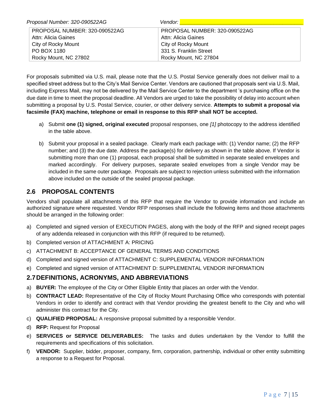| Proposal Number: 320-090522AG | Vendor: <b>I</b>              |
|-------------------------------|-------------------------------|
| PROPOSAL NUMBER: 320-090522AG | PROPOSAL NUMBER: 320-090522AG |
| Attn: Alicia Gaines           | Attn: Alicia Gaines           |
| City of Rocky Mount           | City of Rocky Mount           |
| PO BOX 1180                   | 331 S. Franklin Street        |
| Rocky Mount, NC 27802         | Rocky Mount, NC 27804         |

For proposals submitted via U.S. mail, please note that the U.S. Postal Service generally does not deliver mail to a specified street address but to the City's Mail Service Center. Vendors are cautioned that proposals sent via U.S. Mail, including Express Mail, may not be delivered by the Mail Service Center to the department 's purchasing office on the due date in time to meet the proposal deadline. All Vendors are urged to take the possibility of delay into account when submitting a proposal by U.S. Postal Service, courier, or other delivery service. **Attempts to submit a proposal via facsimile (FAX) machine, telephone or email in response to this RFP shall NOT be accepted.** 

- a) Submit **one (1) signed, original executed** proposal responses, one *[1]* photocopy to the address identified in the table above.
- b) Submit your proposal in a sealed package. Clearly mark each package with: (1) Vendor name; (2) the RFP number; and (3) the due date. Address the package(s) for delivery as shown in the table above. If Vendor is submitting more than one (1) proposal, each proposal shall be submitted in separate sealed envelopes and marked accordingly. For delivery purposes, separate sealed envelopes from a single Vendor may be included in the same outer package. Proposals are subject to rejection unless submitted with the information above included on the outside of the sealed proposal package.

#### <span id="page-7-0"></span>**2.6 PROPOSAL CONTENTS**

Vendors shall populate all attachments of this RFP that require the Vendor to provide information and include an authorized signature where requested. Vendor RFP responses shall include the following items and those attachments should be arranged in the following order:

- a) Completed and signed version of EXECUTION PAGES, along with the body of the RFP and signed receipt pages of any addenda released in conjunction with this RFP (if required to be returned).
- b) Completed version of ATTACHMENT A: PRICING
- c) ATTACHMENT B: ACCEPTANCE OF GENERAL TERMS AND CONDITIONS
- d) Completed and signed version of ATTACHMENT C: SUPPLEMENTAL VENDOR INFORMATION
- e) Completed and signed version of ATTACHMENT D: SUPPLEMENTAL VENDOR INFORMATION

#### <span id="page-7-1"></span>**2.7DEFINITIONS, ACRONYMS, AND ABBREVIATIONS**

- a) **BUYER:** The employee of the City or Other Eligible Entity that places an order with the Vendor.
- b) **CONTRACT LEAD:** Representative of the City of Rocky Mount Purchasing Office who corresponds with potential Vendors in order to identify and contract with that Vendor providing the greatest benefit to the City and who will administer this contract for the City.
- c) **QUALIFIED PROPOSAL:** A responsive proposal submitted by a responsible Vendor.
- d) **RFP:** Request for Proposal
- e) **SERVICES or SERVICE DELIVERABLES:** The tasks and duties undertaken by the Vendor to fulfill the requirements and specifications of this solicitation.
- f) **VENDOR:** Supplier, bidder, proposer, company, firm, corporation, partnership, individual or other entity submitting a response to a Request for Proposal.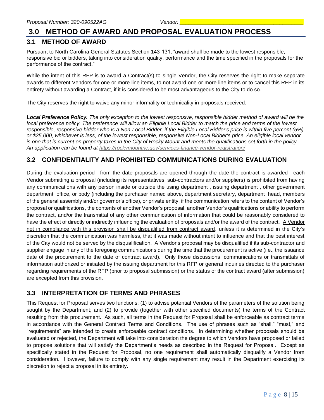## <span id="page-8-0"></span>**3.0 METHOD OF AWARD AND PROPOSAL EVALUATION PROCESS**

#### <span id="page-8-1"></span>**3.1 METHOD OF AWARD**

Pursuant to North Carolina General Statutes Section 143-131, "award shall be made to the lowest responsible, responsive bid or bidders, taking into consideration quality, performance and the time specified in the proposals for the performance of the contract."

While the intent of this RFP is to award a Contract(s) to single Vendor, the City reserves the right to make separate awards to different Vendors for one or more line items, to not award one or more line items or to cancel this RFP in its entirety without awarding a Contract, if it is considered to be most advantageous to the City to do so.

The City reserves the right to waive any minor informality or technicality in proposals received.

*Local Preference Policy. The only exception to the lowest responsive, responsible bidder method of award will be the local preference policy. The preference will allow an Eligible Local Bidder to match the price and terms of the lowest responsible, responsive bidder who is a Non-Local Bidder, if the Eligible Local Bidder's price is within five percent (5%) or \$25,000, whichever is less, of the lowest responsible, responsive Non-Local Bidder's price. An eligible local vendor is one that is current on property taxes in the City of Rocky Mount and meets the qualifications set forth in the policy. An application can be found at<https://rockymountnc.gov/services-finance-vendor-registration/>*

#### <span id="page-8-2"></span>**3.2 CONFIDENTIALITY AND PROHIBITED COMMUNICATIONS DURING EVALUATION**

During the evaluation period—from the date proposals are opened through the date the contract is awarded—each Vendor submitting a proposal (including its representatives, sub-contractors and/or suppliers) is prohibited from having any communications with any person inside or outside the using department , issuing department , other government department office, or body (including the purchaser named above, department secretary, department head, members of the general assembly and/or governor's office), or private entity, if the communication refers to the content of Vendor's proposal or qualifications, the contents of another Vendor's proposal, another Vendor's qualifications or ability to perform the contract, and/or the transmittal of any other communication of information that could be reasonably considered to have the effect of directly or indirectly influencing the evaluation of proposals and/or the award of the contract. A Vendor not in compliance with this provision shall be disqualified from contract award, unless it is determined in the City's discretion that the communication was harmless, that it was made without intent to influence and that the best interest of the City would not be served by the disqualification. A Vendor's proposal may be disqualified if its sub-contractor and supplier engage in any of the foregoing communications during the time that the procurement is active (i.e., the issuance date of the procurement to the date of contract award). Only those discussions, communications or transmittals of information authorized or initiated by the issuing department for this RFP or general inquiries directed to the purchaser regarding requirements of the RFP (prior to proposal submission) or the status of the contract award (after submission) are excepted from this provision.

#### <span id="page-8-3"></span>**3.3 INTERPRETATION OF TERMS AND PHRASES**

This Request for Proposal serves two functions: (1) to advise potential Vendors of the parameters of the solution being sought by the Department; and (2) to provide (together with other specified documents) the terms of the Contract resulting from this procurement. As such, all terms in the Request for Proposal shall be enforceable as contract terms in accordance with the General Contract Terms and Conditions. The use of phrases such as "shall," "must," and "requirements" are intended to create enforceable contract conditions. In determining whether proposals should be evaluated or rejected, the Department will take into consideration the degree to which Vendors have proposed or failed to propose solutions that will satisfy the Department's needs as described in the Request for Proposal. Except as specifically stated in the Request for Proposal, no one requirement shall automatically disqualify a Vendor from consideration. However, failure to comply with any single requirement may result in the Department exercising its discretion to reject a proposal in its entirety.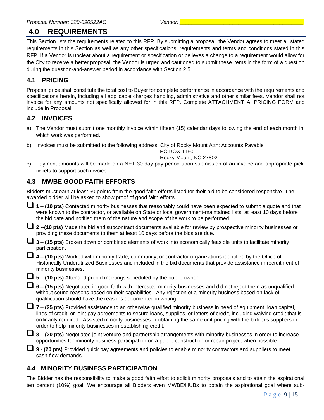# <span id="page-9-0"></span>**4.0 REQUIREMENTS**

This Section lists the requirements related to this RFP. By submitting a proposal, the Vendor agrees to meet all stated requirements in this Section as well as any other specifications, requirements and terms and conditions stated in this RFP. If a Vendor is unclear about a requirement or specification or believes a change to a requirement would allow for the City to receive a better proposal, the Vendor is urged and cautioned to submit these items in the form of a question during the question-and-answer period in accordance with Section 2.5.

#### <span id="page-9-1"></span>**4.1 PRICING**

Proposal price shall constitute the total cost to Buyer for complete performance in accordance with the requirements and specifications herein, including all applicable charges handling, administrative and other similar fees. Vendor shall not invoice for any amounts not specifically allowed for in this RFP. Complete ATTACHMENT A: PRICING FORM and include in Proposal.

#### <span id="page-9-2"></span>**4.2 INVOICES**

- a) The Vendor must submit one monthly invoice within fifteen (15) calendar days following the end of each month in which work was performed.
- b) Invoices must be submitted to the following address: City of Rocky Mount Attn: Accounts Payable

PO BOX 1180 Rocky Mount, NC 27802

c) Payment amounts will be made on a NET 30 day pay period upon submission of an invoice and appropriate pick tickets to support such invoice.

## <span id="page-9-3"></span>**4.3 MWBE GOOD FAITH EFFORTS**

Bidders must earn at least 50 points from the good faith efforts listed for their bid to be considered responsive. The awarded bidder will be asked to show proof of good faith efforts.

❑ **1 – (10 pts)** Contacted minority businesses that reasonably could have been expected to submit a quote and that were known to the contractor, or available on State or local government-maintained lists, at least 10 days before the bid date and notified them of the nature and scope of the work to be performed.

❑ **<sup>2</sup> --(10 pts)** Made the bid and subcontract documents available for review by prospective minority businesses or providing these documents to them at least 10 days before the bids are due.

|                |  |  | $\Box$ 3 – (15 pts) Broken down or combined elements of work into economically feasible units to facilitate minority |
|----------------|--|--|----------------------------------------------------------------------------------------------------------------------|
| participation. |  |  |                                                                                                                      |

❑ **<sup>4</sup> – (10 pts)** Worked with minority trade, community, or contractor organizations identified by the Office of Historically Underutilized Businesses and included in the bid documents that provide assistance in recruitment of minority businesses.

❑ **<sup>5</sup>** – **(10 pts)** Attended prebid meetings scheduled by the public owner.

❑ **<sup>6</sup> – (15 pts)** Negotiated in good faith with interested minority businesses and did not reject them as unqualified without sound reasons based on their capabilities. Any rejection of a minority business based on lack of qualification should have the reasons documented in writing.

❑ **<sup>7</sup>**– **(25 pts)** Provided assistance to an otherwise qualified minority business in need of equipment, loan capital, lines of credit, or joint pay agreements to secure loans, supplies, or letters of credit, including waiving credit that is ordinarily required. Assisted minority businesses in obtaining the same unit pricing with the bidder's suppliers in order to help minority businesses in establishing credit.

❑ **<sup>8</sup>** – **(20 pts)** Negotiated joint venture and partnership arrangements with minority businesses in order to increase opportunities for minority business participation on a public construction or repair project when possible.

❑ **<sup>9</sup>** - **(20 pts)** Provided quick pay agreements and policies to enable minority contractors and suppliers to meet cash-flow demands.

## <span id="page-9-4"></span>**4.4 MINORITY BUSINESS PARTICIPATION**

The Bidder has the responsibility to make a good faith effort to solicit minority proposals and to attain the aspirational ten percent (10%) goal. We encourage all Bidders even MWBE/HUBs to obtain the aspirational goal where sub-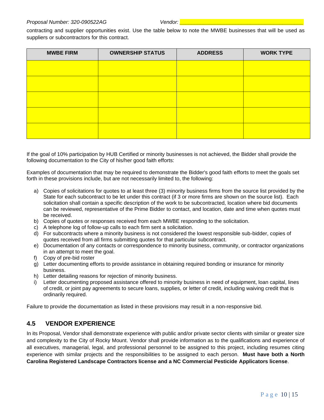#### *Proposal Number: 320-090522AG Vendor: \_\_\_\_\_\_\_\_\_\_\_\_\_\_\_\_\_\_\_\_\_\_\_\_\_\_\_\_\_\_\_\_\_\_\_\_\_\_\_\_\_\_*

contracting and supplier opportunities exist. Use the table below to note the MWBE businesses that will be used as suppliers or subcontractors for this contract.

| <b>MWBE FIRM</b> | <b>OWNERSHIP STATUS</b> | <b>ADDRESS</b> | <b>WORK TYPE</b> |
|------------------|-------------------------|----------------|------------------|
|                  |                         |                |                  |
|                  |                         |                |                  |
|                  |                         |                |                  |
|                  |                         |                |                  |
|                  |                         |                |                  |

If the goal of 10% participation by HUB Certified or minority businesses is not achieved, the Bidder shall provide the following documentation to the City of his/her good faith efforts:

Examples of documentation that may be required to demonstrate the Bidder's good faith efforts to meet the goals set forth in these provisions include, but are not necessarily limited to, the following:

- a) Copies of solicitations for quotes to at least three (3) minority business firms from the source list provided by the State for each subcontract to be let under this contract (if 3 or more firms are shown on the source list). Each solicitation shall contain a specific description of the work to be subcontracted, location where bid documents can be reviewed, representative of the Prime Bidder to contact, and location, date and time when quotes must be received.
- b) Copies of quotes or responses received from each MWBE responding to the solicitation.
- c) A telephone log of follow-up calls to each firm sent a solicitation.
- d) For subcontracts where a minority business is not considered the lowest responsible sub-bidder, copies of quotes received from all firms submitting quotes for that particular subcontract.
- e) Documentation of any contacts or correspondence to minority business, community, or contractor organizations in an attempt to meet the goal.
- f) Copy of pre-bid roster
- g) Letter documenting efforts to provide assistance in obtaining required bonding or insurance for minority business.
- h) Letter detailing reasons for rejection of minority business.
- i) Letter documenting proposed assistance offered to minority business in need of equipment, loan capital, lines of credit, or joint pay agreements to secure loans, supplies, or letter of credit, including waiving credit that is ordinarily required.

Failure to provide the documentation as listed in these provisions may result in a non-responsive bid.

#### <span id="page-10-0"></span>**4.5 VENDOR EXPERIENCE**

In its Proposal, Vendor shall demonstrate experience with public and/or private sector clients with similar or greater size and complexity to the City of Rocky Mount. Vendor shall provide information as to the qualifications and experience of all executives, managerial, legal, and professional personnel to be assigned to this project, including resumes citing experience with similar projects and the responsibilities to be assigned to each person. **Must have both a North Carolina Registered Landscape Contractors license and a NC Commercial Pesticide Applicators license**.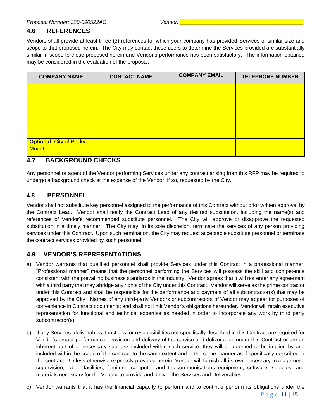## <span id="page-11-0"></span>**4.6 REFERENCES**

Vendors shall provide at least three (3) references for which your company has provided Services of similar size and scope to that proposed herein. The City may contact these users to determine the Services provided are substantially similar in scope to those proposed herein and Vendor's performance has been satisfactory. The information obtained may be considered in the evaluation of the proposal.

| <b>COMPANY NAME</b>                            | <b>CONTACT NAME</b> | <b>COMPANY EMAIL</b> | <b>TELEPHONE NUMBER</b> |
|------------------------------------------------|---------------------|----------------------|-------------------------|
|                                                |                     |                      |                         |
|                                                |                     |                      |                         |
|                                                |                     |                      |                         |
| <b>Optional: City of Rocky</b><br><b>Mount</b> |                     |                      |                         |

## <span id="page-11-1"></span>**4.7 BACKGROUND CHECKS**

Any personnel or agent of the Vendor performing Services under any contract arising from this RFP may be required to undergo a background check at the expense of the Vendor, if so, requested by the City.

#### <span id="page-11-2"></span>**4.8 PERSONNEL**

Vendor shall not substitute key personnel assigned to the performance of this Contract without prior written approval by the Contract Lead. Vendor shall notify the Contract Lead of any desired substitution, including the name(s) and references of Vendor's recommended substitute personnel. The City will approve or disapprove the requested substitution in a timely manner. The City may, in its sole discretion, terminate the services of any person providing services under this Contract. Upon such termination, the City may request acceptable substitute personnel or terminate the contract services provided by such personnel.

## <span id="page-11-3"></span>**4.9 VENDOR'S REPRESENTATIONS**

- a) Vendor warrants that qualified personnel shall provide Services under this Contract in a professional manner. "Professional manner" means that the personnel performing the Services will possess the skill and competence consistent with the prevailing business standards in the industry. Vendor agrees that it will not enter any agreement with a third party that may abridge any rights of the City under this Contract. Vendor will serve as the prime contractor under this Contract and shall be responsible for the performance and payment of all subcontractor(s) that may be approved by the City. Names of any third-party Vendors or subcontractors of Vendor may appear for purposes of convenience in Contract documents; and shall not limit Vendor's obligations hereunder. Vendor will retain executive representation for functional and technical expertise as needed in order to incorporate any work by third party subcontractor(s).
- b) If any Services, deliverables, functions, or responsibilities not specifically described in this Contract are required for Vendor's proper performance, provision and delivery of the service and deliverables under this Contract or are an inherent part of or necessary sub-task included within such service, they will be deemed to be implied by and included within the scope of the contract to the same extent and in the same manner as if specifically described in the contract. Unless otherwise expressly provided herein, Vendor will furnish all its own necessary management, supervision, labor, facilities, furniture, computer and telecommunications equipment, software, supplies, and materials necessary for the Vendor to provide and deliver the Services and Deliverables.
- c) Vendor warrants that it has the financial capacity to perform and to continue perform its obligations under the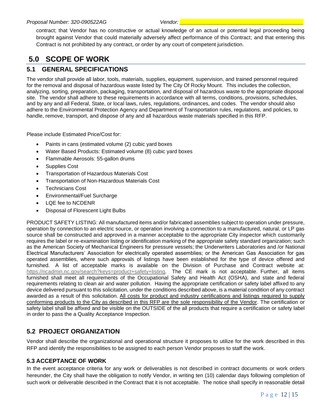contract; that Vendor has no constructive or actual knowledge of an actual or potential legal proceeding being brought against Vendor that could materially adversely affect performance of this Contract; and that entering this Contract is not prohibited by any contract, or order by any court of competent jurisdiction.

# <span id="page-12-0"></span>**5.0 SCOPE OF WORK**

#### <span id="page-12-1"></span>**5.1 GENERAL SPECIFICATIONS**

The vendor shall provide all labor, tools, materials, supplies, equipment, supervision, and trained personnel required for the removal and disposal of hazardous waste listed by The City Of Rocky Mount. This includes the collection, analyzing, sorting, preparation, packaging, transportation, and disposal of hazardous waste to the appropriate disposal site. The vendor shall adhere to these requirements in accordance with all terms, conditions, provisions, schedules, and by any and all Federal, State, or local laws, rules, regulations, ordinances, and codes. The vendor should also adhere to the Environmental Protection Agency and Department of Transportation rules, regulations, and policies, to handle, remove, transport, and dispose of any and all hazardous waste materials specified in this RFP.

Please include Estimated Price/Cost for:

- Paints in cans (estimated volume (2) cubic yard boxes
- Water Based Products: Estimated volume (8) cubic yard boxes
- Flammable Aerosols: 55-gallon drums
- Supplies Cost
- Transportation of Hazardous Materials Cost
- Transportation of Non-Hazardous Materials Cost
- Technicians Cost
- Environmental/Fuel Surcharge
- LQE fee to NCDENR
- Disposal of Florescent Light Bulbs

PRODUCT SAFETY LISTING: All manufactured items and/or fabricated assemblies subject to operation under pressure, operation by connection to an electric source, or operation involving a connection to a manufactured, natural, or LP gas source shall be constructed and approved in a manner acceptable to the appropriate City inspector which customarily requires the label or re-examination listing or identification marking of the appropriate safety standard organization; such as the American Society of Mechanical Engineers for pressure vessels; the Underwriters Laboratories and /or National Electrical Manufacturers' Association for electrically operated assemblies; or the American Gas Association for gas operated assemblies, where such approvals of listings have been established for the type of device offered and furnished. A list of acceptable marks is available on the Division of Purchase and Contract website at: [https://ncadmin.nc.gov/search?keys=product+safety+listing.](https://ncadmin.nc.gov/search?keys=product+safety+listing) The CE mark is not acceptable. Further, all items furnished shall meet all requirements of the Occupational Safety and Health Act (OSHA), and state and federal requirements relating to clean air and water pollution. Having the appropriate certification or safety label affixed to any device delivered pursuant to this solicitation, under the conditions described above, is a material condition of any contract awarded as a result of this solicitation. All costs for product and industry certifications and listings required to supply conforming products to the City as described in this RFP are the sole responsibility of the Vendor. The certification or safety label shall be affixed and be visible on the OUTSIDE of the all products that require a certification or safety label in order to pass the a Quality Acceptance Inspection.

#### <span id="page-12-2"></span>**5.2 PROJECT ORGANIZATION**

Vendor shall describe the organizational and operational structure it proposes to utilize for the work described in this RFP and identify the responsibilities to be assigned to each person Vendor proposes to staff the work.

#### <span id="page-12-3"></span>**5.3 ACCEPTANCE OF WORK**

In the event acceptance criteria for any work or deliverables is not described in contract documents or work orders hereunder, the City shall have the obligation to notify Vendor, in writing ten (10) calendar days following completion of such work or deliverable described in the Contract that it is not acceptable. The notice shall specify in reasonable detail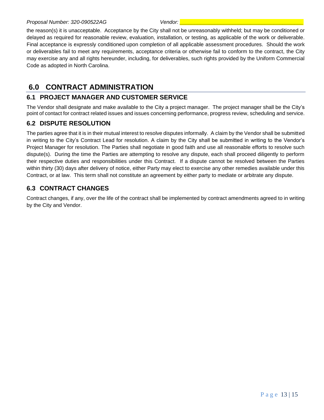#### *Proposal Number: 320-090522AG Vendor: \_\_\_\_\_\_\_\_\_\_\_\_\_\_\_\_\_\_\_\_\_\_\_\_\_\_\_\_\_\_\_\_\_\_\_\_\_\_\_\_\_\_*

the reason(s) it is unacceptable. Acceptance by the City shall not be unreasonably withheld; but may be conditioned or delayed as required for reasonable review, evaluation, installation, or testing, as applicable of the work or deliverable. Final acceptance is expressly conditioned upon completion of all applicable assessment procedures. Should the work or deliverables fail to meet any requirements, acceptance criteria or otherwise fail to conform to the contract, the City may exercise any and all rights hereunder, including, for deliverables, such rights provided by the Uniform Commercial Code as adopted in North Carolina.

# <span id="page-13-0"></span>**6.0 CONTRACT ADMINISTRATION**

#### <span id="page-13-1"></span>**6.1 PROJECT MANAGER AND CUSTOMER SERVICE**

The Vendor shall designate and make available to the City a project manager. The project manager shall be the City's point of contact for contract related issues and issues concerning performance, progress review, scheduling and service.

#### <span id="page-13-2"></span>**6.2 DISPUTE RESOLUTION**

The parties agree that it is in their mutual interest to resolve disputes informally. A claim by the Vendor shall be submitted in writing to the City's Contract Lead for resolution. A claim by the City shall be submitted in writing to the Vendor's Project Manager for resolution. The Parties shall negotiate in good faith and use all reasonable efforts to resolve such dispute(s). During the time the Parties are attempting to resolve any dispute, each shall proceed diligently to perform their respective duties and responsibilities under this Contract. If a dispute cannot be resolved between the Parties within thirty (30) days after delivery of notice, either Party may elect to exercise any other remedies available under this Contract, or at law. This term shall not constitute an agreement by either party to mediate or arbitrate any dispute.

#### <span id="page-13-3"></span>**6.3 CONTRACT CHANGES**

Contract changes, if any, over the life of the contract shall be implemented by contract amendments agreed to in writing by the City and Vendor.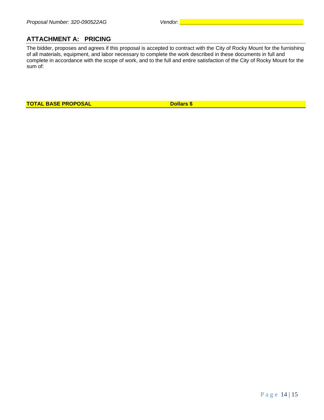## <span id="page-14-0"></span>**ATTACHMENT A: PRICING**

The bidder, proposes and agrees if this proposal is accepted to contract with the City of Rocky Mount for the furnishing of all materials, equipment, and labor necessary to complete the work described in these documents in full and complete in accordance with the scope of work, and to the full and entire satisfaction of the City of Rocky Mount for the sum of:

**TOTAL BASE PROPOSAL DOLLARY BRACE BASE PROPOSAL**